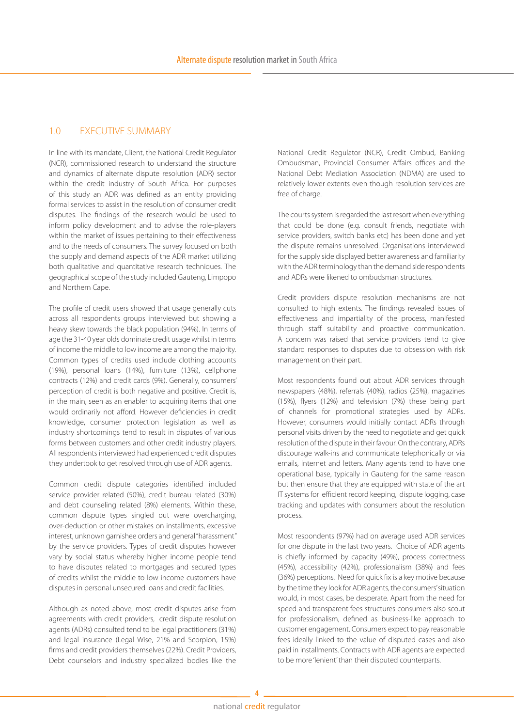## 1.0 EXECUTIVE SUMMARY

In line with its mandate, Client, the National Credit Regulator (NCR), commissioned research to understand the structure and dynamics of alternate dispute resolution (ADR) sector within the credit industry of South Africa. For purposes of this study an ADR was defined as an entity providing formal services to assist in the resolution of consumer credit disputes. The findings of the research would be used to inform policy development and to advise the role-players within the market of issues pertaining to their effectiveness and to the needs of consumers. The survey focused on both the supply and demand aspects of the ADR market utilizing both qualitative and quantitative research techniques. The geographical scope of the study included Gauteng, Limpopo and Northern Cape.

The profile of credit users showed that usage generally cuts across all respondents groups interviewed but showing a heavy skew towards the black population (94%). In terms of age the 31-40 year olds dominate credit usage whilst in terms of income the middle to low income are among the majority. Common types of credits used include clothing accounts (19%), personal loans (14%), furniture (13%), cellphone contracts (12%) and credit cards (9%). Generally, consumers' perception of credit is both negative and positive. Credit is, in the main, seen as an enabler to acquiring items that one would ordinarily not afford. However deficiencies in credit knowledge, consumer protection legislation as well as industry shortcomings tend to result in disputes of various forms between customers and other credit industry players. All respondents interviewed had experienced credit disputes they undertook to get resolved through use of ADR agents.

Common credit dispute categories identified included service provider related (50%), credit bureau related (30%) and debt counseling related (8%) elements. Within these, common dispute types singled out were overcharging, over-deduction or other mistakes on installments, excessive interest, unknown garnishee orders and general "harassment" by the service providers. Types of credit disputes however vary by social status whereby higher income people tend to have disputes related to mortgages and secured types of credits whilst the middle to low income customers have disputes in personal unsecured loans and credit facilities.

Although as noted above, most credit disputes arise from agreements with credit providers, credit dispute resolution agents (ADRs) consulted tend to be legal practitioners (31%) and legal insurance (Legal Wise, 21% and Scorpion, 15%) firms and credit providers themselves (22%). Credit Providers, Debt counselors and industry specialized bodies like the

National Credit Regulator (NCR), Credit Ombud, Banking Ombudsman, Provincial Consumer Affairs offices and the National Debt Mediation Association (NDMA) are used to relatively lower extents even though resolution services are free of charge.

The courts system is regarded the last resort when everything that could be done (e.g. consult friends, negotiate with service providers, switch banks etc) has been done and yet the dispute remains unresolved. Organisations interviewed for the supply side displayed better awareness and familiarity with the ADR terminology than the demand side respondents and ADRs were likened to ombudsman structures.

Credit providers dispute resolution mechanisms are not consulted to high extents. The findings revealed issues of effectiveness and impartiality of the process, manifested through staff suitability and proactive communication. A concern was raised that service providers tend to give standard responses to disputes due to obsession with risk management on their part.

Most respondents found out about ADR services through newspapers (48%), referrals (40%), radios (25%), magazines (15%), flyers (12%) and television (7%) these being part of channels for promotional strategies used by ADRs. However, consumers would initially contact ADRs through personal visits driven by the need to negotiate and get quick resolution of the dispute in their favour. On the contrary, ADRs discourage walk-ins and communicate telephonically or via emails, internet and letters. Many agents tend to have one operational base, typically in Gauteng for the same reason but then ensure that they are equipped with state of the art IT systems for efficient record keeping, dispute logging, case tracking and updates with consumers about the resolution process.

Most respondents (97%) had on average used ADR services for one dispute in the last two years. Choice of ADR agents is chiefly informed by capacity (49%), process correctness (45%), accessibility (42%), professionalism (38%) and fees (36%) perceptions. Need for quick fix is a key motive because by the time they look for ADR agents, the consumers' situation would, in most cases, be desperate. Apart from the need for speed and transparent fees structures consumers also scout for professionalism, defined as business-like approach to customer engagement. Consumers expect to pay reasonable fees ideally linked to the value of disputed cases and also paid in installments. Contracts with ADR agents are expected to be more 'lenient' than their disputed counterparts.